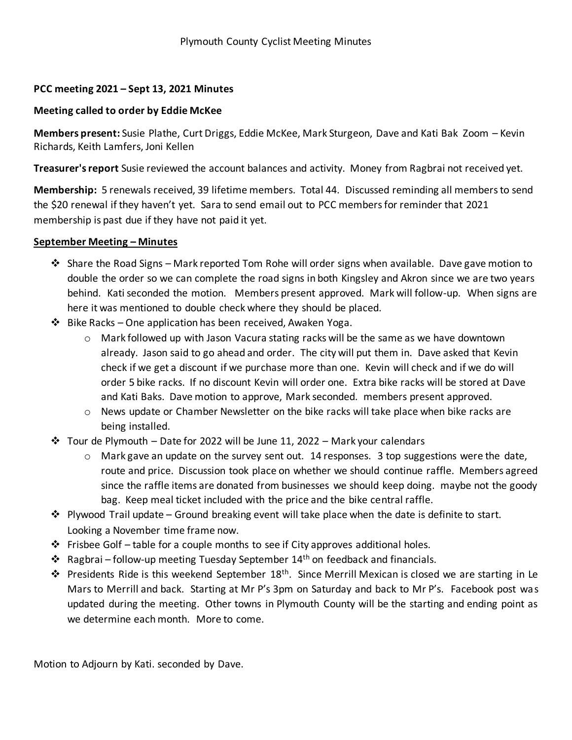## **PCC meeting 2021 – Sept 13, 2021 Minutes**

## **Meeting called to order by Eddie McKee**

**Members present:** Susie Plathe, Curt Driggs, Eddie McKee, Mark Sturgeon, Dave and Kati Bak Zoom – Kevin Richards, Keith Lamfers, Joni Kellen

**Treasurer's report** Susie reviewed the account balances and activity. Money from Ragbrai not received yet.

**Membership:** 5 renewals received, 39 lifetime members. Total 44. Discussed reminding all members to send the \$20 renewal if they haven't yet. Sara to send email out to PCC members for reminder that 2021 membership is past due if they have not paid it yet.

## **September Meeting – Minutes**

- ❖ Share the Road Signs Mark reported Tom Rohe will order signs when available. Dave gave motion to double the order so we can complete the road signs in both Kingsley and Akron since we are two years behind. Kati seconded the motion. Members present approved. Mark will follow-up. When signs are here it was mentioned to double check where they should be placed.
- ❖ Bike Racks One application has been received, Awaken Yoga.
	- $\circ$  Mark followed up with Jason Vacura stating racks will be the same as we have downtown already. Jason said to go ahead and order. The city will put them in. Dave asked that Kevin check if we get a discount if we purchase more than one. Kevin will check and if we do will order 5 bike racks. If no discount Kevin will order one. Extra bike racks will be stored at Dave and Kati Baks. Dave motion to approve, Mark seconded. members present approved.
	- $\circ$  News update or Chamber Newsletter on the bike racks will take place when bike racks are being installed.
- $\dots$  Tour de Plymouth Date for 2022 will be June 11, 2022 Mark your calendars
	- $\circ$  Mark gave an update on the survey sent out. 14 responses. 3 top suggestions were the date, route and price. Discussion took place on whether we should continue raffle. Members agreed since the raffle items are donated from businesses we should keep doing. maybe not the goody bag. Keep meal ticket included with the price and the bike central raffle.
- $\dots$  Plywood Trail update Ground breaking event will take place when the date is definite to start. Looking a November time frame now.
- $\div$  Frisbee Golf table for a couple months to see if City approves additional holes.
- ❖ Ragbrai follow-up meeting Tuesday September 14th on feedback and financials.
- ❖ Presidents Ride is this weekend September 18th. Since Merrill Mexican is closed we are starting in Le Mars to Merrill and back. Starting at Mr P's 3pm on Saturday and back to Mr P's. Facebook post was updated during the meeting. Other towns in Plymouth County will be the starting and ending point as we determine each month. More to come.

Motion to Adjourn by Kati. seconded by Dave.